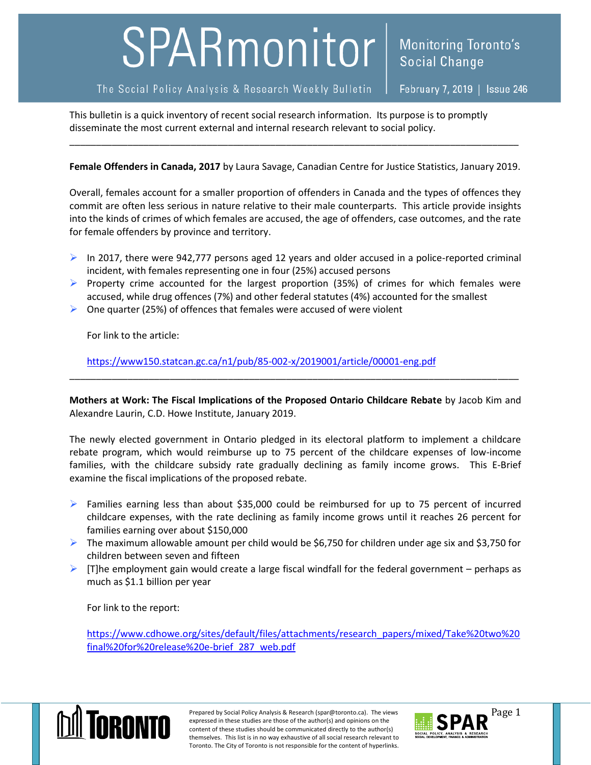## SPARmonitor

The Social Policy Analysis & Research Weekly Bulletin

February 7, 2019 | Issue 246

**Monitoring Toronto's** 

**Social Change** 

This bulletin is a quick inventory of recent social research information. Its purpose is to promptly disseminate the most current external and internal research relevant to social policy.

**Female Offenders in Canada, 2017** by Laura Savage, Canadian Centre for Justice Statistics, January 2019.

\_\_\_\_\_\_\_\_\_\_\_\_\_\_\_\_\_\_\_\_\_\_\_\_\_\_\_\_\_\_\_\_\_\_\_\_\_\_\_\_\_\_\_\_\_\_\_\_\_\_\_\_\_\_\_\_\_\_\_\_\_\_\_\_\_\_\_\_\_\_\_\_\_\_\_\_\_\_\_\_\_\_\_\_\_

Overall, females account for a smaller proportion of offenders in Canada and the types of offences they commit are often less serious in nature relative to their male counterparts. This article provide insights into the kinds of crimes of which females are accused, the age of offenders, case outcomes, and the rate for female offenders by province and territory.

- $\triangleright$  In 2017, there were 942,777 persons aged 12 years and older accused in a police-reported criminal incident, with females representing one in four (25%) accused persons
- $\triangleright$  Property crime accounted for the largest proportion (35%) of crimes for which females were accused, while drug offences (7%) and other federal statutes (4%) accounted for the smallest
- $\triangleright$  One quarter (25%) of offences that females were accused of were violent

For link to the article:

<https://www150.statcan.gc.ca/n1/pub/85-002-x/2019001/article/00001-eng.pdf>

**Mothers at Work: The Fiscal Implications of the Proposed Ontario Childcare Rebate** by Jacob Kim and Alexandre Laurin, C.D. Howe Institute, January 2019.

\_\_\_\_\_\_\_\_\_\_\_\_\_\_\_\_\_\_\_\_\_\_\_\_\_\_\_\_\_\_\_\_\_\_\_\_\_\_\_\_\_\_\_\_\_\_\_\_\_\_\_\_\_\_\_\_\_\_\_\_\_\_\_\_\_\_\_\_\_\_\_\_\_\_\_\_\_\_\_\_\_\_\_\_\_

The newly elected government in Ontario pledged in its electoral platform to implement a childcare rebate program, which would reimburse up to 75 percent of the childcare expenses of low-income families, with the childcare subsidy rate gradually declining as family income grows. This E-Brief examine the fiscal implications of the proposed rebate.

- $\triangleright$  Families earning less than about \$35,000 could be reimbursed for up to 75 percent of incurred childcare expenses, with the rate declining as family income grows until it reaches 26 percent for families earning over about \$150,000
- $\triangleright$  The maximum allowable amount per child would be \$6,750 for children under age six and \$3,750 for children between seven and fifteen
- $\triangleright$  [T]he employment gain would create a large fiscal windfall for the federal government perhaps as much as \$1.1 billion per year

For link to the report:

[https://www.cdhowe.org/sites/default/files/attachments/research\\_papers/mixed/Take%20two%20](https://www.cdhowe.org/sites/default/files/attachments/research_papers/mixed/Take%20two%20final%20for%20release%20e-brief_287_web.pdf) [final%20for%20release%20e-brief\\_287\\_web.pdf](https://www.cdhowe.org/sites/default/files/attachments/research_papers/mixed/Take%20two%20final%20for%20release%20e-brief_287_web.pdf)



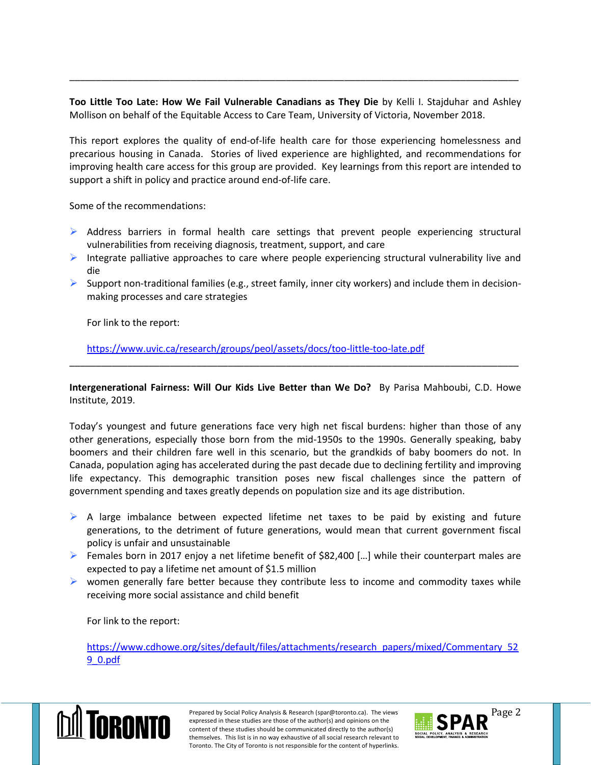**Too Little Too Late: How We Fail Vulnerable Canadians as They Die** by Kelli I. Stajduhar and Ashley Mollison on behalf of the Equitable Access to Care Team, University of Victoria, November 2018.

\_\_\_\_\_\_\_\_\_\_\_\_\_\_\_\_\_\_\_\_\_\_\_\_\_\_\_\_\_\_\_\_\_\_\_\_\_\_\_\_\_\_\_\_\_\_\_\_\_\_\_\_\_\_\_\_\_\_\_\_\_\_\_\_\_\_\_\_\_\_\_\_\_\_\_\_\_\_\_\_\_\_\_\_\_

This report explores the quality of end-of-life health care for those experiencing homelessness and precarious housing in Canada. Stories of lived experience are highlighted, and recommendations for improving health care access for this group are provided. Key learnings from this report are intended to support a shift in policy and practice around end-of-life care.

Some of the recommendations:

- $\triangleright$  Address barriers in formal health care settings that prevent people experiencing structural vulnerabilities from receiving diagnosis, treatment, support, and care
- Integrate palliative approaches to care where people experiencing structural vulnerability live and die
- Support non-traditional families (e.g., street family, inner city workers) and include them in decisionmaking processes and care strategies

For link to the report:

<https://www.uvic.ca/research/groups/peol/assets/docs/too-little-too-late.pdf>

**Intergenerational Fairness: Will Our Kids Live Better than We Do?** By Parisa Mahboubi, C.D. Howe Institute, 2019.

\_\_\_\_\_\_\_\_\_\_\_\_\_\_\_\_\_\_\_\_\_\_\_\_\_\_\_\_\_\_\_\_\_\_\_\_\_\_\_\_\_\_\_\_\_\_\_\_\_\_\_\_\_\_\_\_\_\_\_\_\_\_\_\_\_\_\_\_\_\_\_\_\_\_\_\_\_\_\_\_\_\_\_\_\_

Today's youngest and future generations face very high net fiscal burdens: higher than those of any other generations, especially those born from the mid-1950s to the 1990s. Generally speaking, baby boomers and their children fare well in this scenario, but the grandkids of baby boomers do not. In Canada, population aging has accelerated during the past decade due to declining fertility and improving life expectancy. This demographic transition poses new fiscal challenges since the pattern of government spending and taxes greatly depends on population size and its age distribution.

- $\triangleright$  A large imbalance between expected lifetime net taxes to be paid by existing and future generations, to the detriment of future generations, would mean that current government fiscal policy is unfair and unsustainable
- Females born in 2017 enjoy a net lifetime benefit of \$82,400 [...] while their counterpart males are expected to pay a lifetime net amount of \$1.5 million
- $\triangleright$  women generally fare better because they contribute less to income and commodity taxes while receiving more social assistance and child benefit

For link to the report:

[https://www.cdhowe.org/sites/default/files/attachments/research\\_papers/mixed/Commentary\\_52](https://www.cdhowe.org/sites/default/files/attachments/research_papers/mixed/Commentary_529_0.pdf) [9\\_0.pdf](https://www.cdhowe.org/sites/default/files/attachments/research_papers/mixed/Commentary_529_0.pdf)